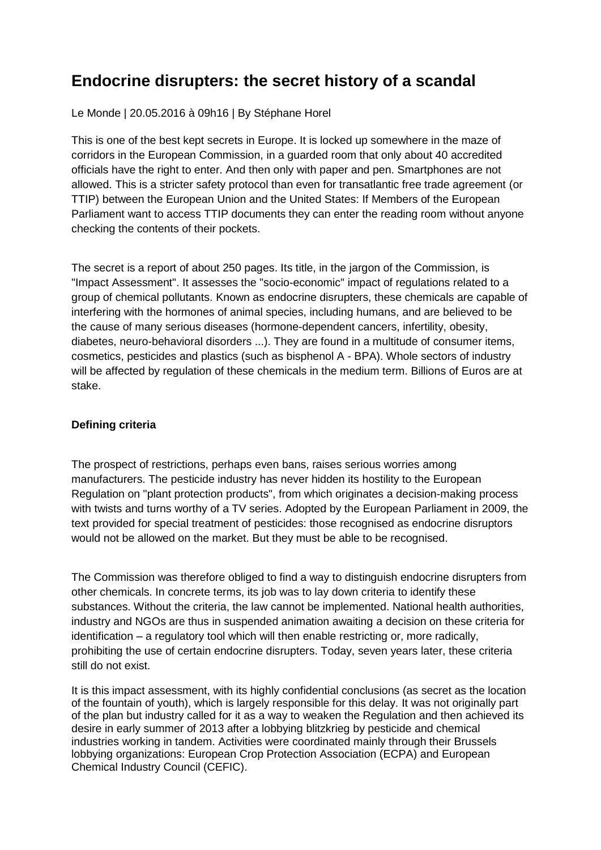### **Endocrine disrupters: the secret history of a scandal**

Le Monde | 20.05.2016 à 09h16 | By Stéphane Horel

This is one of the best kept secrets in Europe. It is locked up somewhere in the maze of corridors in the European Commission, in a guarded room that only about 40 accredited officials have the right to enter. And then only with paper and pen. Smartphones are not allowed. This is a stricter safety protocol than even for transatlantic free trade agreement (or TTIP) between the European Union and the United States: If Members of the European Parliament want to access TTIP documents they can enter the reading room without anyone checking the contents of their pockets.

The secret is a report of about 250 pages. Its title, in the jargon of the Commission, is "Impact Assessment". It assesses the "socio-economic" impact of regulations related to a group of chemical pollutants. Known as endocrine disrupters, these chemicals are capable of interfering with the hormones of animal species, including humans, and are believed to be the cause of many serious diseases (hormone-dependent cancers, infertility, obesity, diabetes, neuro-behavioral disorders ...). They are found in a multitude of consumer items, cosmetics, pesticides and plastics (such as bisphenol A - BPA). Whole sectors of industry will be affected by regulation of these chemicals in the medium term. Billions of Euros are at stake.

### **Defining criteria**

The prospect of restrictions, perhaps even bans, raises serious worries among manufacturers. The pesticide industry has never hidden its hostility to the European Regulation on "plant protection products", from which originates a decision-making process with twists and turns worthy of a TV series. Adopted by the European Parliament in 2009, the text provided for special treatment of pesticides: those recognised as endocrine disruptors would not be allowed on the market. But they must be able to be recognised.

The Commission was therefore obliged to find a way to distinguish endocrine disrupters from other chemicals. In concrete terms, its job was to lay down criteria to identify these substances. Without the criteria, the law cannot be implemented. National health authorities, industry and NGOs are thus in suspended animation awaiting a decision on these criteria for identification – a regulatory tool which will then enable restricting or, more radically, prohibiting the use of certain endocrine disrupters. Today, seven years later, these criteria still do not exist.

It is this impact assessment, with its highly confidential conclusions (as secret as the location of the fountain of youth), which is largely responsible for this delay. It was not originally part of the plan but industry called for it as a way to weaken the Regulation and then achieved its desire in early summer of 2013 after a lobbying blitzkrieg by pesticide and chemical industries working in tandem. Activities were coordinated mainly through their Brussels lobbying organizations: European Crop Protection Association (ECPA) and European Chemical Industry Council (CEFIC).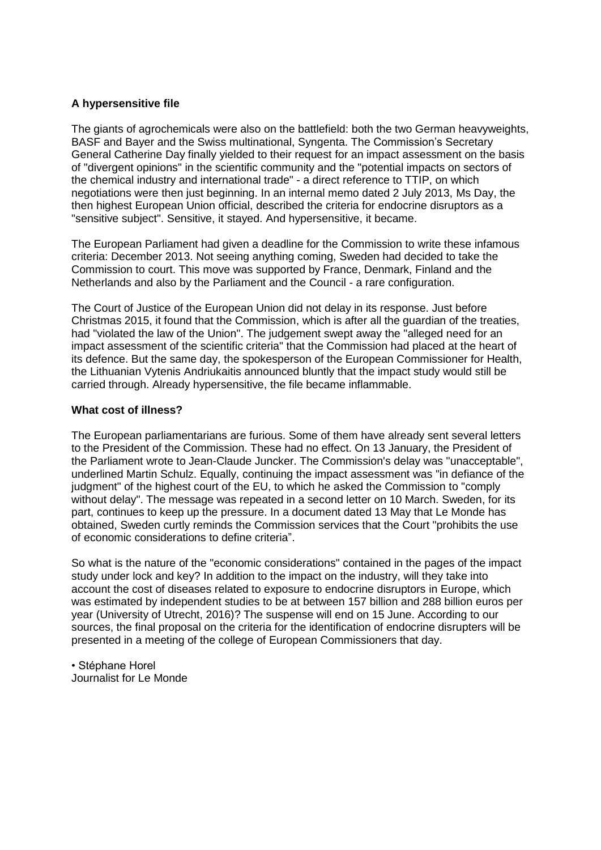### **A hypersensitive file**

The giants of agrochemicals were also on the battlefield: both the two German heavyweights, BASF and Bayer and the Swiss multinational, Syngenta. The Commission's Secretary General Catherine Day finally yielded to their request for an impact assessment on the basis of "divergent opinions" in the scientific community and the "potential impacts on sectors of the chemical industry and international trade" - a direct reference to TTIP, on which negotiations were then just beginning. In an internal memo dated 2 July 2013, Ms Day, the then highest European Union official, described the criteria for endocrine disruptors as a "sensitive subject". Sensitive, it stayed. And hypersensitive, it became.

The European Parliament had given a deadline for the Commission to write these infamous criteria: December 2013. Not seeing anything coming, Sweden had decided to take the Commission to court. This move was supported by France, Denmark, Finland and the Netherlands and also by the Parliament and the Council - a rare configuration.

The Court of Justice of the European Union did not delay in its response. Just before Christmas 2015, it found that the Commission, which is after all the guardian of the treaties, had "violated the law of the Union". The judgement swept away the "alleged need for an impact assessment of the scientific criteria" that the Commission had placed at the heart of its defence. But the same day, the spokesperson of the European Commissioner for Health, the Lithuanian Vytenis Andriukaitis announced bluntly that the impact study would still be carried through. Already hypersensitive, the file became inflammable.

#### **What cost of illness?**

The European parliamentarians are furious. Some of them have already sent several letters to the President of the Commission. These had no effect. On 13 January, the President of the Parliament wrote to Jean-Claude Juncker. The Commission's delay was "unacceptable", underlined Martin Schulz. Equally, continuing the impact assessment was "in defiance of the judgment" of the highest court of the EU, to which he asked the Commission to "comply without delay". The message was repeated in a second letter on 10 March. Sweden, for its part, continues to keep up the pressure. In a document dated 13 May that Le Monde has obtained, Sweden curtly reminds the Commission services that the Court "prohibits the use of economic considerations to define criteria".

So what is the nature of the "economic considerations" contained in the pages of the impact study under lock and key? In addition to the impact on the industry, will they take into account the cost of diseases related to exposure to endocrine disruptors in Europe, which was estimated by independent studies to be at between 157 billion and 288 billion euros per year (University of Utrecht, 2016)? The suspense will end on 15 June. According to our sources, the final proposal on the criteria for the identification of endocrine disrupters will be presented in a meeting of the college of European Commissioners that day.

• Stéphane Horel Journalist for Le Monde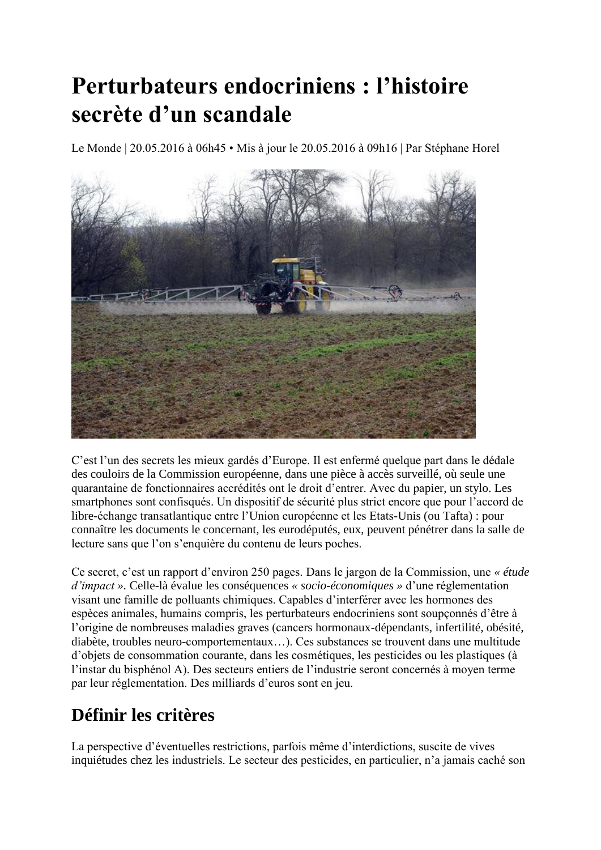# **Perturbateurs endocriniens : l'histoire secrète d'un scandale**

Le Monde | 20.05.2016 à 06h45 • Mis à jour le 20.05.2016 à 09h16 | Par Stéphane Horel



C'est l'un des secrets les mieux gardés d'Europe. Il est enfermé quelque part dans le dédale des couloirs de la Commission européenne, dans une pièce à accès surveillé, où seule une quarantaine de fonctionnaires accrédités ont le droit d'entrer. Avec du papier, un stylo. Les smartphones sont confisqués. Un dispositif de sécurité plus strict encore que pour l'accord de libre-échange transatlantique entre l'Union européenne et les Etats-Unis (ou Tafta) : pour connaître les documents le concernant, les eurodéputés, eux, peuvent pénétrer dans la salle de lecture sans que l'on s'enquière du contenu de leurs poches.

Ce secret, c'est un rapport d'environ 250 pages. Dans le jargon de la Commission, une *« étude d'impact ».* Celle-là évalue les conséquences *« socio-économiques »* d'une réglementation visant une famille de polluants chimiques. Capables d'interférer avec les hormones des espèces animales, humains compris, les perturbateurs endocriniens sont soupçonnés d'être à l'origine de nombreuses maladies graves (cancers hormonaux-dépendants, infertilité, obésité, diabète, troubles neuro-comportementaux…). Ces substances se trouvent dans une multitude d'objets de consommation courante, dans les cosmétiques, les pesticides ou les plastiques (à l'instar du bisphénol A). Des secteurs entiers de l'industrie seront concernés à moyen terme par leur réglementation. Des milliards d'euros sont en jeu.

## **Définir les critères**

La perspective d'éventuelles restrictions, parfois même d'interdictions, suscite de vives inquiétudes chez les industriels. Le secteur des pesticides, en particulier, n'a jamais caché son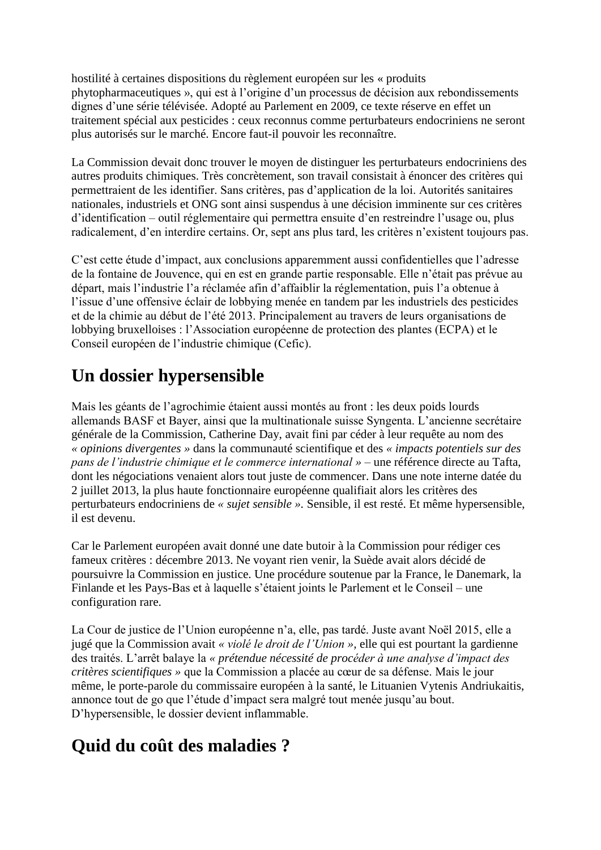hostilité à certaines dispositions du règlement européen sur les « produits phytopharmaceutiques », qui est à l'origine d'un processus de décision aux rebondissements dignes d'une série télévisée. Adopté au Parlement en 2009, ce texte réserve en effet un traitement spécial aux pesticides : ceux reconnus comme perturbateurs endocriniens ne seront plus autorisés sur le marché. Encore faut-il pouvoir les reconnaître.

La Commission devait donc trouver le moyen de distinguer les perturbateurs endocriniens des autres produits chimiques. Très concrètement, son travail consistait à énoncer des critères qui permettraient de les identifier. Sans critères, pas d'application de la loi. Autorités sanitaires nationales, industriels et ONG sont ainsi suspendus à une décision imminente sur ces critères d'identification – outil réglementaire qui permettra ensuite d'en restreindre l'usage ou, plus radicalement, d'en interdire certains. Or, sept ans plus tard, les critères n'existent toujours pas.

C'est cette étude d'impact, aux conclusions apparemment aussi confidentielles que l'adresse de la fontaine de Jouvence, qui en est en grande partie responsable. Elle n'était pas prévue au départ, mais l'industrie l'a réclamée afin d'affaiblir la réglementation, puis l'a obtenue à l'issue d'une offensive éclair de lobbying menée en tandem par les industriels des pesticides et de la chimie au début de l'été 2013. Principalement au travers de leurs organisations de lobbying bruxelloises : l'Association européenne de protection des plantes (ECPA) et le Conseil européen de l'industrie chimique (Cefic).

## **Un dossier hypersensible**

Mais les géants de l'agrochimie étaient aussi montés au front : les deux poids lourds allemands BASF et Bayer, ainsi que la multinationale suisse Syngenta. L'ancienne secrétaire générale de la Commission, Catherine Day, avait fini par céder à leur requête au nom des *« opinions divergentes »* dans la communauté scientifique et des *« impacts potentiels sur des pans de l'industrie chimique et le commerce international »* – une référence directe au Tafta, dont les négociations venaient alors tout juste de commencer. Dans une note interne datée du 2 juillet 2013, la plus haute fonctionnaire européenne qualifiait alors les critères des perturbateurs endocriniens de *« sujet sensible ».* Sensible, il est resté. Et même hypersensible, il est devenu.

Car le Parlement européen avait donné une date butoir à la Commission pour rédiger ces fameux critères : décembre 2013. Ne voyant rien venir, la Suède avait alors décidé de poursuivre la Commission en justice. Une procédure soutenue par la France, le Danemark, la Finlande et les Pays-Bas et à laquelle s'étaient joints le Parlement et le Conseil – une configuration rare.

La Cour de justice de l'Union européenne n'a, elle, pas tardé. Juste avant Noël 2015, elle a jugé que la Commission avait *« violé le droit de l'Union »,* elle qui est pourtant la gardienne des traités. L'arrêt balaye la *« prétendue nécessité de procéder à une analyse d'impact des critères scientifiques »* que la Commission a placée au cœur de sa défense. Mais le jour même, le porte-parole du commissaire européen à la santé, le Lituanien Vytenis Andriukaitis, annonce tout de go que l'étude d'impact sera malgré tout menée jusqu'au bout. D'hypersensible, le dossier devient inflammable.

## **Quid du coût des maladies ?**